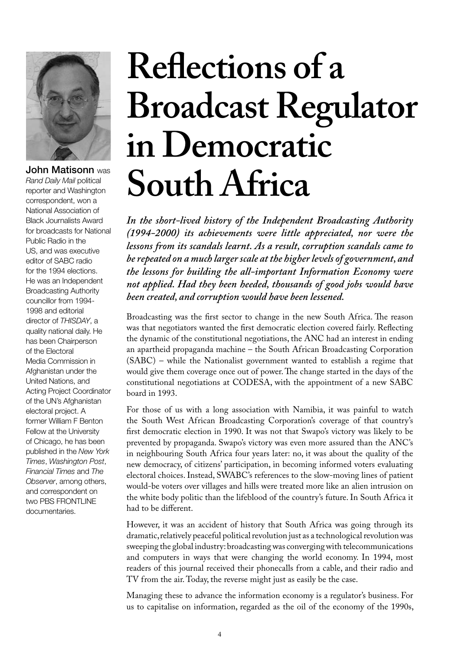

John Matisonn was

*Rand Daily Mail* political reporter and Washington correspondent, won a National Association of Black Journalists Award for broadcasts for National Public Radio in the US, and was executive editor of SABC radio for the 1994 elections. He was an Independent Broadcasting Authority councillor from 1994- 1998 and editorial director of *THISDAY*, a quality national daily. He has been Chairperson of the Electoral Media Commission in Afghanistan under the United Nations, and Acting Project Coordinator of the UN's Afghanistan electoral project. A former William F Benton Fellow at the University of Chicago, he has been published in the *New York Times*, *Washington Post*, *Financial Times* and *The Observer*, among others, and correspondent on two PBS FRONTLINE documentaries.

# **Reflections of a Broadcast Regulator in Democratic South Africa**

*In the short-lived history of the Independent Broadcasting Authority (1994-2000) its achievements were little appreciated, nor were the lessons from its scandals learnt. As a result, corruption scandals came to be repeated on a much larger scale at the higher levels of government, and the lessons for building the all-important Information Economy were not applied. Had they been heeded, thousands of good jobs would have been created, and corruption would have been lessened.*

Broadcasting was the first sector to change in the new South Africa. The reason was that negotiators wanted the first democratic election covered fairly. Reflecting the dynamic of the constitutional negotiations, the ANC had an interest in ending an apartheid propaganda machine – the South African Broadcasting Corporation (SABC) – while the Nationalist government wanted to establish a regime that would give them coverage once out of power. The change started in the days of the constitutional negotiations at CODESA, with the appointment of a new SABC board in 1993.

For those of us with a long association with Namibia, it was painful to watch the South West African Broadcasting Corporation's coverage of that country's first democratic election in 1990. It was not that Swapo's victory was likely to be prevented by propaganda. Swapo's victory was even more assured than the ANC's in neighbouring South Africa four years later: no, it was about the quality of the new democracy, of citizens' participation, in becoming informed voters evaluating electoral choices. Instead, SWABC's references to the slow-moving lines of patient would-be voters over villages and hills were treated more like an alien intrusion on the white body politic than the lifeblood of the country's future. In South Africa it had to be different.

However, it was an accident of history that South Africa was going through its dramatic, relatively peaceful political revolution just as a technological revolution was sweeping the global industry: broadcasting was converging with telecommunications and computers in ways that were changing the world economy. In 1994, most readers of this journal received their phonecalls from a cable, and their radio and TV from the air. Today, the reverse might just as easily be the case.

Managing these to advance the information economy is a regulator's business. For us to capitalise on information, regarded as the oil of the economy of the 1990s,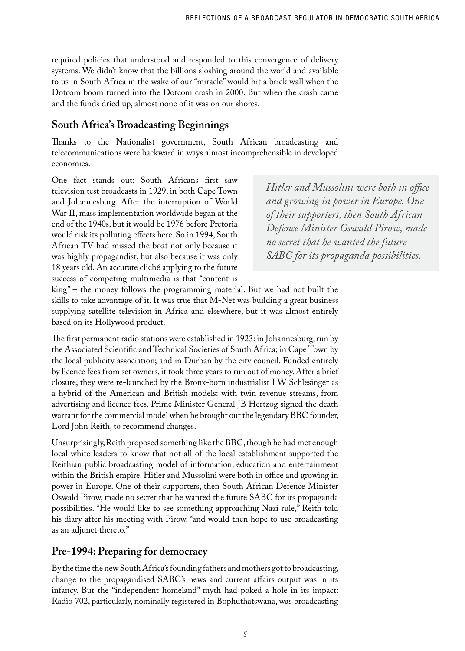required policies that understood and responded to this convergence of delivery systems. We didn't know that the billions sloshing around the world and available to us in South Africa in the wake of our "miracle" would hit a brick wall when the Dotcom boom turned into the Dotcom crash in 2000. But when the crash came and the funds dried up, almost none of it was on our shores.

# **South Africa's Broadcasting Beginnings**

Thanks to the Nationalist government, South African broadcasting and telecommunications were backward in ways almost incomprehensible in developed economies.

One fact stands out: South Africans first saw television test broadcasts in 1929, in both Cape Town and Johannesburg. After the interruption of World War II, mass implementation worldwide began at the end of the 1940s, but it would be 1976 before Pretoria would risk its polluting effects here. So in 1994, South African TV had missed the boat not only because it was highly propagandist, but also because it was only 18 years old. An accurate cliché applying to the future success of competing multimedia is that "content is

*Hitler and Mussolini were both in office and growing in power in Europe. One of their supporters, then South African Defence Minister Oswald Pirow, made no secret that he wanted the future SABC for its propaganda possibilities.*

king" – the money follows the programming material. But we had not built the skills to take advantage of it. It was true that M-Net was building a great business supplying satellite television in Africa and elsewhere, but it was almost entirely based on its Hollywood product.

The first permanent radio stations were established in 1923: in Johannesburg, run by the Associated Scientific and Technical Societies of South Africa; in Cape Town by the local publicity association; and in Durban by the city council. Funded entirely by licence fees from set owners, it took three years to run out of money. After a brief closure, they were re-launched by the Bronx-born industrialist I W Schlesinger as a hybrid of the American and British models: with twin revenue streams, from advertising and licence fees. Prime Minister General JB Hertzog signed the death warrant for the commercial model when he brought out the legendary BBC founder, Lord John Reith, to recommend changes.

Unsurprisingly, Reith proposed something like the BBC, though he had met enough local white leaders to know that not all of the local establishment supported the Reithian public broadcasting model of information, education and entertainment within the British empire. Hitler and Mussolini were both in office and growing in power in Europe. One of their supporters, then South African Defence Minister Oswald Pirow, made no secret that he wanted the future SABC for its propaganda possibilities. "He would like to see something approaching Nazi rule," Reith told his diary after his meeting with Pirow, "and would then hope to use broadcasting as an adjunct thereto."

## **Pre-1994: Preparing for democracy**

By the time the new South Africa's founding fathers and mothers got to broadcasting, change to the propagandised SABC's news and current affairs output was in its infancy. But the "independent homeland" myth had poked a hole in its impact: Radio 702, particularly, nominally registered in Bophuthatswana, was broadcasting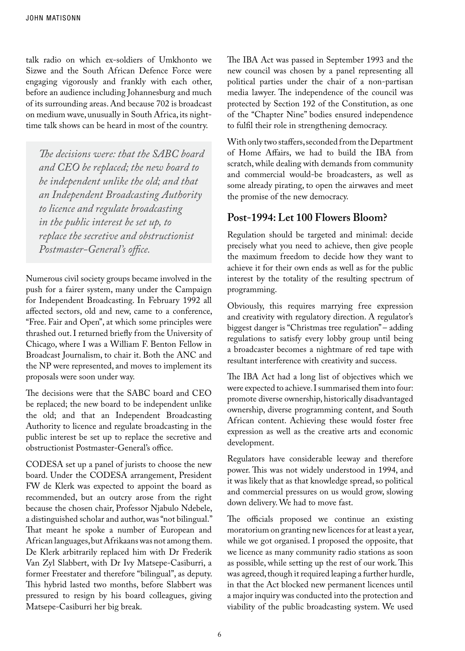talk radio on which ex-soldiers of Umkhonto we Sizwe and the South African Defence Force were engaging vigorously and frankly with each other, before an audience including Johannesburg and much of its surrounding areas. And because 702 is broadcast on medium wave, unusually in South Africa, its nighttime talk shows can be heard in most of the country.

*The decisions were: that the SABC board and CEO be replaced; the new board to be independent unlike the old; and that an Independent Broadcasting Authority to licence and regulate broadcasting in the public interest be set up, to replace the secretive and obstructionist Postmaster-General's office.*

Numerous civil society groups became involved in the push for a fairer system, many under the Campaign for Independent Broadcasting. In February 1992 all affected sectors, old and new, came to a conference, "Free. Fair and Open", at which some principles were thrashed out. I returned briefly from the University of Chicago, where I was a William F. Benton Fellow in Broadcast Journalism, to chair it. Both the ANC and the NP were represented, and moves to implement its proposals were soon under way.

The decisions were that the SABC board and CEO be replaced; the new board to be independent unlike the old; and that an Independent Broadcasting Authority to licence and regulate broadcasting in the public interest be set up to replace the secretive and obstructionist Postmaster-General's office.

CODESA set up a panel of jurists to choose the new board. Under the CODESA arrangement, President FW de Klerk was expected to appoint the board as recommended, but an outcry arose from the right because the chosen chair, Professor Njabulo Ndebele, a distinguished scholar and author, was "not bilingual." That meant he spoke a number of European and African languages, but Afrikaans was not among them. De Klerk arbitrarily replaced him with Dr Frederik Van Zyl Slabbert, with Dr Ivy Matsepe-Casiburri, a former Freestater and therefore "bilingual", as deputy. This hybrid lasted two months, before Slabbert was pressured to resign by his board colleagues, giving Matsepe-Casiburri her big break.

The IBA Act was passed in September 1993 and the new council was chosen by a panel representing all political parties under the chair of a non-partisan media lawyer. The independence of the council was protected by Section 192 of the Constitution, as one of the "Chapter Nine" bodies ensured independence to fulfil their role in strengthening democracy.

With only two staffers, seconded from the Department of Home Affairs, we had to build the IBA from scratch, while dealing with demands from community and commercial would-be broadcasters, as well as some already pirating, to open the airwaves and meet the promise of the new democracy.

#### **Post-1994: Let 100 Flowers Bloom?**

Regulation should be targeted and minimal: decide precisely what you need to achieve, then give people the maximum freedom to decide how they want to achieve it for their own ends as well as for the public interest by the totality of the resulting spectrum of programming.

Obviously, this requires marrying free expression and creativity with regulatory direction. A regulator's biggest danger is "Christmas tree regulation" – adding regulations to satisfy every lobby group until being a broadcaster becomes a nightmare of red tape with resultant interference with creativity and success.

The IBA Act had a long list of objectives which we were expected to achieve. I summarised them into four: promote diverse ownership, historically disadvantaged ownership, diverse programming content, and South African content. Achieving these would foster free expression as well as the creative arts and economic development.

Regulators have considerable leeway and therefore power. This was not widely understood in 1994, and it was likely that as that knowledge spread, so political and commercial pressures on us would grow, slowing down delivery. We had to move fast.

The officials proposed we continue an existing moratorium on granting new licences for at least a year, while we got organised. I proposed the opposite, that we licence as many community radio stations as soon as possible, while setting up the rest of our work. This was agreed, though it required leaping a further hurdle, in that the Act blocked new permanent licences until a major inquiry was conducted into the protection and viability of the public broadcasting system. We used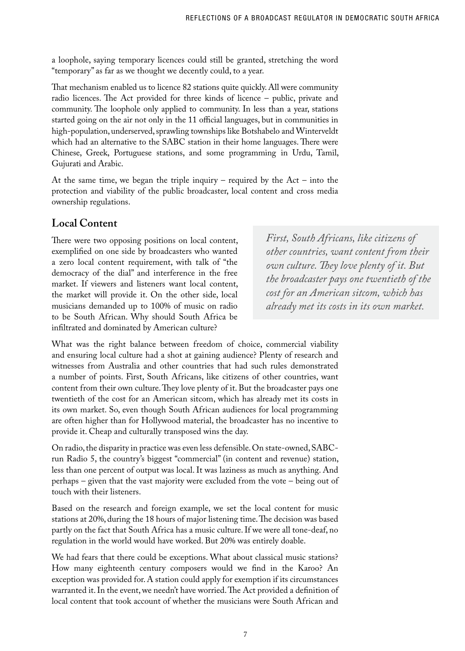a loophole, saying temporary licences could still be granted, stretching the word "temporary" as far as we thought we decently could, to a year.

That mechanism enabled us to licence 82 stations quite quickly. All were community radio licences. The Act provided for three kinds of licence – public, private and community. The loophole only applied to community. In less than a year, stations started going on the air not only in the 11 official languages, but in communities in high-population, underserved, sprawling townships like Botshabelo and Winterveldt which had an alternative to the SABC station in their home languages. There were Chinese, Greek, Portuguese stations, and some programming in Urdu, Tamil, Gujurati and Arabic.

At the same time, we began the triple inquiry – required by the  $Act - into the$ protection and viability of the public broadcaster, local content and cross media ownership regulations.

# **Local Content**

There were two opposing positions on local content, exemplified on one side by broadcasters who wanted a zero local content requirement, with talk of "the democracy of the dial" and interference in the free market. If viewers and listeners want local content, the market will provide it. On the other side, local musicians demanded up to 100% of music on radio to be South African. Why should South Africa be infiltrated and dominated by American culture?

*First, South Africans, like citizens of other countries, want content from their own culture. They love plenty of it. But the broadcaster pays one twentieth of the cost for an American sitcom, which has already met its costs in its own market.*

What was the right balance between freedom of choice, commercial viability and ensuring local culture had a shot at gaining audience? Plenty of research and witnesses from Australia and other countries that had such rules demonstrated a number of points. First, South Africans, like citizens of other countries, want content from their own culture. They love plenty of it. But the broadcaster pays one twentieth of the cost for an American sitcom, which has already met its costs in its own market. So, even though South African audiences for local programming are often higher than for Hollywood material, the broadcaster has no incentive to provide it. Cheap and culturally transposed wins the day.

On radio, the disparity in practice was even less defensible. On state-owned, SABCrun Radio 5, the country's biggest "commercial" (in content and revenue) station, less than one percent of output was local. It was laziness as much as anything. And perhaps – given that the vast majority were excluded from the vote – being out of touch with their listeners.

Based on the research and foreign example, we set the local content for music stations at 20%, during the 18 hours of major listening time. The decision was based partly on the fact that South Africa has a music culture. If we were all tone-deaf, no regulation in the world would have worked. But 20% was entirely doable.

We had fears that there could be exceptions. What about classical music stations? How many eighteenth century composers would we find in the Karoo? An exception was provided for. A station could apply for exemption if its circumstances warranted it. In the event, we needn't have worried. The Act provided a definition of local content that took account of whether the musicians were South African and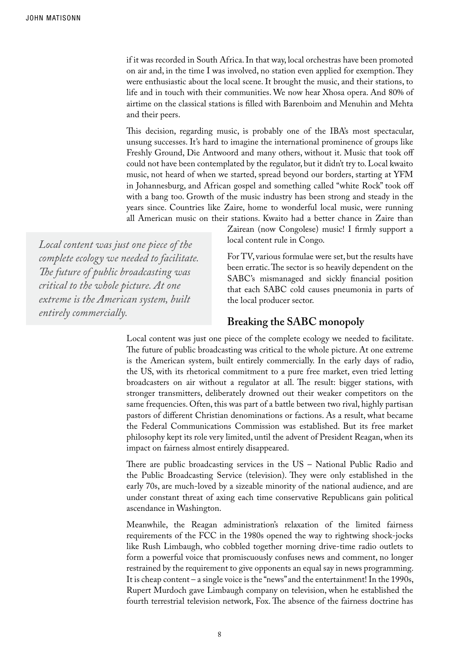if it was recorded in South Africa. In that way, local orchestras have been promoted on air and, in the time I was involved, no station even applied for exemption. They were enthusiastic about the local scene. It brought the music, and their stations, to life and in touch with their communities. We now hear Xhosa opera. And 80% of airtime on the classical stations is filled with Barenboim and Menuhin and Mehta and their peers.

This decision, regarding music, is probably one of the IBA's most spectacular, unsung successes. It's hard to imagine the international prominence of groups like Freshly Ground, Die Antwoord and many others, without it. Music that took off could not have been contemplated by the regulator, but it didn't try to. Local kwaito music, not heard of when we started, spread beyond our borders, starting at YFM in Johannesburg, and African gospel and something called "white Rock" took off with a bang too. Growth of the music industry has been strong and steady in the years since. Countries like Zaire, home to wonderful local music, were running all American music on their stations. Kwaito had a better chance in Zaire than

*Local content was just one piece of the complete ecology we needed to facilitate. The future of public broadcasting was critical to the whole picture. At one extreme is the American system, built entirely commercially.*

Zairean (now Congolese) music! I firmly support a local content rule in Congo.

For TV, various formulae were set, but the results have been erratic. The sector is so heavily dependent on the SABC's mismanaged and sickly financial position that each SABC cold causes pneumonia in parts of the local producer sector.

#### **Breaking the SABC monopoly**

Local content was just one piece of the complete ecology we needed to facilitate. The future of public broadcasting was critical to the whole picture. At one extreme is the American system, built entirely commercially. In the early days of radio, the US, with its rhetorical commitment to a pure free market, even tried letting broadcasters on air without a regulator at all. The result: bigger stations, with stronger transmitters, deliberately drowned out their weaker competitors on the same frequencies. Often, this was part of a battle between two rival, highly partisan pastors of different Christian denominations or factions. As a result, what became the Federal Communications Commission was established. But its free market philosophy kept its role very limited, until the advent of President Reagan, when its impact on fairness almost entirely disappeared.

There are public broadcasting services in the US – National Public Radio and the Public Broadcasting Service (television). They were only established in the early 70s, are much-loved by a sizeable minority of the national audience, and are under constant threat of axing each time conservative Republicans gain political ascendance in Washington.

Meanwhile, the Reagan administration's relaxation of the limited fairness requirements of the FCC in the 1980s opened the way to rightwing shock-jocks like Rush Limbaugh, who cobbled together morning drive-time radio outlets to form a powerful voice that promiscuously confuses news and comment, no longer restrained by the requirement to give opponents an equal say in news programming. It is cheap content – a single voice is the "news" and the entertainment! In the 1990s, Rupert Murdoch gave Limbaugh company on television, when he established the fourth terrestrial television network, Fox. The absence of the fairness doctrine has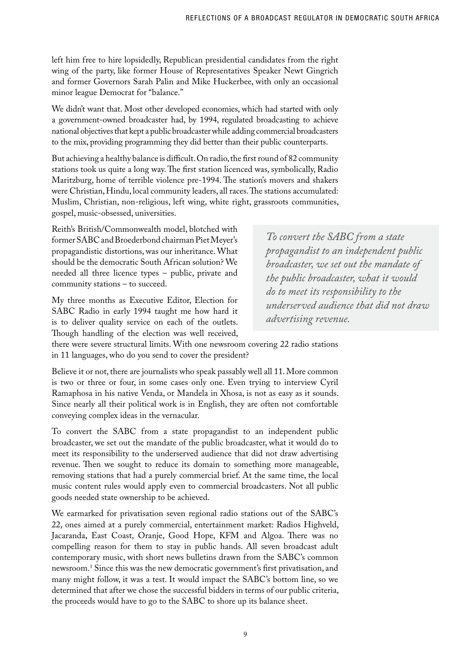left him free to hire lopsidedly, Republican presidential candidates from the right wing of the party, like former House of Representatives Speaker Newt Gingrich and former Governors Sarah Palin and Mike Huckerbee, with only an occasional minor league Democrat for "balance."

We didn't want that. Most other developed economies, which had started with only a government-owned broadcaster had, by 1994, regulated broadcasting to achieve national objectives that kept a public broadcaster while adding commercial broadcasters to the mix, providing programming they did better than their public counterparts.

But achieving a healthy balance is difficult. On radio, the first round of 82 community stations took us quite a long way. The first station licenced was, symbolically, Radio Maritzburg, home of terrible violence pre-1994. The station's movers and shakers were Christian, Hindu, local community leaders, all races. The stations accumulated: Muslim, Christian, non-religious, left wing, white right, grassroots communities, gospel, music-obsessed, universities.

Reith's British/Commonwealth model, blotched with former SABC and Broederbond chairman Piet Meyer's propagandistic distortions, was our inheritance. What should be the democratic South African solution? We needed all three licence types – public, private and community stations – to succeed.

My three months as Executive Editor, Election for SABC Radio in early 1994 taught me how hard it is to deliver quality service on each of the outlets. Though handling of the election was well received,

*To convert the SABC from a state propagandist to an independent public broadcaster, we set out the mandate of the public broadcaster, what it would do to meet its responsibility to the underserved audience that did not draw advertising revenue.*

there were severe structural limits. With one newsroom covering 22 radio stations in 11 languages, who do you send to cover the president?

Believe it or not, there are journalists who speak passably well all 11. More common is two or three or four, in some cases only one. Even trying to interview Cyril Ramaphosa in his native Venda, or Mandela in Xhosa, is not as easy as it sounds. Since nearly all their political work is in English, they are often not comfortable conveying complex ideas in the vernacular.

To convert the SABC from a state propagandist to an independent public broadcaster, we set out the mandate of the public broadcaster, what it would do to meet its responsibility to the underserved audience that did not draw advertising revenue. Then we sought to reduce its domain to something more manageable, removing stations that had a purely commercial brief. At the same time, the local music content rules would apply even to commercial broadcasters. Not all public goods needed state ownership to be achieved.

We earmarked for privatisation seven regional radio stations out of the SABC's 22, ones aimed at a purely commercial, entertainment market: Radios Highveld, Jacaranda, East Coast, Oranje, Good Hope, KFM and Algoa. There was no compelling reason for them to stay in public hands. All seven broadcast adult contemporary music, with short news bulletins drawn from the SABC's common newsroom.1 Since this was the new democratic government's first privatisation, and many might follow, it was a test. It would impact the SABC's bottom line, so we determined that after we chose the successful bidders in terms of our public criteria, the proceeds would have to go to the SABC to shore up its balance sheet.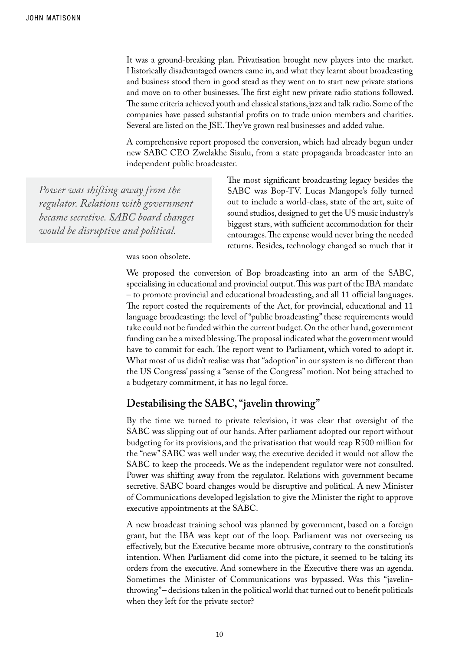It was a ground-breaking plan. Privatisation brought new players into the market. Historically disadvantaged owners came in, and what they learnt about broadcasting and business stood them in good stead as they went on to start new private stations and move on to other businesses. The first eight new private radio stations followed. The same criteria achieved youth and classical stations, jazz and talk radio. Some of the companies have passed substantial profits on to trade union members and charities. Several are listed on the JSE. They've grown real businesses and added value.

A comprehensive report proposed the conversion, which had already begun under new SABC CEO Zwelakhe Sisulu, from a state propaganda broadcaster into an independent public broadcaster.

*Power was shifting away from the regulator. Relations with government became secretive. SABC board changes would be disruptive and political.* 

The most significant broadcasting legacy besides the SABC was Bop-TV. Lucas Mangope's folly turned out to include a world-class, state of the art, suite of sound studios, designed to get the US music industry's biggest stars, with sufficient accommodation for their entourages. The expense would never bring the needed returns. Besides, technology changed so much that it

was soon obsolete.

We proposed the conversion of Bop broadcasting into an arm of the SABC, specialising in educational and provincial output. This was part of the IBA mandate – to promote provincial and educational broadcasting, and all 11 official languages. The report costed the requirements of the Act, for provincial, educational and 11 language broadcasting: the level of "public broadcasting" these requirements would take could not be funded within the current budget. On the other hand, government funding can be a mixed blessing. The proposal indicated what the government would have to commit for each. The report went to Parliament, which voted to adopt it. What most of us didn't realise was that "adoption" in our system is no different than the US Congress' passing a "sense of the Congress" motion. Not being attached to a budgetary commitment, it has no legal force.

#### **Destabilising the SABC, "javelin throwing"**

By the time we turned to private television, it was clear that oversight of the SABC was slipping out of our hands. After parliament adopted our report without budgeting for its provisions, and the privatisation that would reap R500 million for the "new" SABC was well under way, the executive decided it would not allow the SABC to keep the proceeds. We as the independent regulator were not consulted. Power was shifting away from the regulator. Relations with government became secretive. SABC board changes would be disruptive and political. A new Minister of Communications developed legislation to give the Minister the right to approve executive appointments at the SABC.

A new broadcast training school was planned by government, based on a foreign grant, but the IBA was kept out of the loop. Parliament was not overseeing us effectively, but the Executive became more obtrusive, contrary to the constitution's intention. When Parliament did come into the picture, it seemed to be taking its orders from the executive. And somewhere in the Executive there was an agenda. Sometimes the Minister of Communications was bypassed. Was this "javelinthrowing" – decisions taken in the political world that turned out to benefit politicals when they left for the private sector?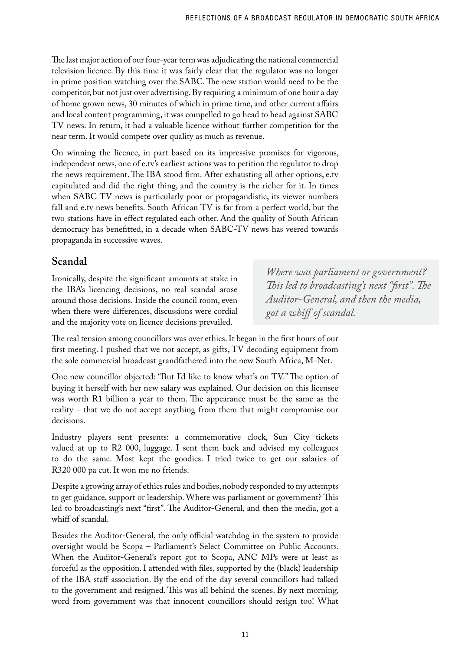The last major action of our four-year term was adjudicating the national commercial television licence. By this time it was fairly clear that the regulator was no longer in prime position watching over the SABC. The new station would need to be the competitor, but not just over advertising. By requiring a minimum of one hour a day of home grown news, 30 minutes of which in prime time, and other current affairs and local content programming, it was compelled to go head to head against SABC TV news. In return, it had a valuable licence without further competition for the near term. It would compete over quality as much as revenue.

On winning the licence, in part based on its impressive promises for vigorous, independent news, one of e.tv's earliest actions was to petition the regulator to drop the news requirement. The IBA stood firm. After exhausting all other options, e.tv capitulated and did the right thing, and the country is the richer for it. In times when SABC TV news is particularly poor or propagandistic, its viewer numbers fall and e.tv news benefits. South African TV is far from a perfect world, but the two stations have in effect regulated each other. And the quality of South African democracy has benefitted, in a decade when SABC-TV news has veered towards propaganda in successive waves.

## **Scandal**

Ironically, despite the significant amounts at stake in the IBA's licencing decisions, no real scandal arose around those decisions. Inside the council room, even when there were differences, discussions were cordial and the majority vote on licence decisions prevailed.

*Where was parliament or government? This led to broadcasting's next "first". The Auditor-General, and then the media, got a whiff of scandal.* 

The real tension among councillors was over ethics. It began in the first hours of our first meeting. I pushed that we not accept, as gifts, TV decoding equipment from the sole commercial broadcast grandfathered into the new South Africa, M-Net.

One new councillor objected: "But I'd like to know what's on TV." The option of buying it herself with her new salary was explained. Our decision on this licensee was worth R1 billion a year to them. The appearance must be the same as the reality – that we do not accept anything from them that might compromise our decisions.

Industry players sent presents: a commemorative clock, Sun City tickets valued at up to R2 000, luggage. I sent them back and advised my colleagues to do the same. Most kept the goodies. I tried twice to get our salaries of R320 000 pa cut. It won me no friends.

Despite a growing array of ethics rules and bodies, nobody responded to my attempts to get guidance, support or leadership. Where was parliament or government? This led to broadcasting's next "first". The Auditor-General, and then the media, got a whiff of scandal.

Besides the Auditor-General, the only official watchdog in the system to provide oversight would be Scopa – Parliament's Select Committee on Public Accounts. When the Auditor-General's report got to Scopa, ANC MPs were at least as forceful as the opposition. I attended with files, supported by the (black) leadership of the IBA staff association. By the end of the day several councillors had talked to the government and resigned. This was all behind the scenes. By next morning, word from government was that innocent councillors should resign too! What